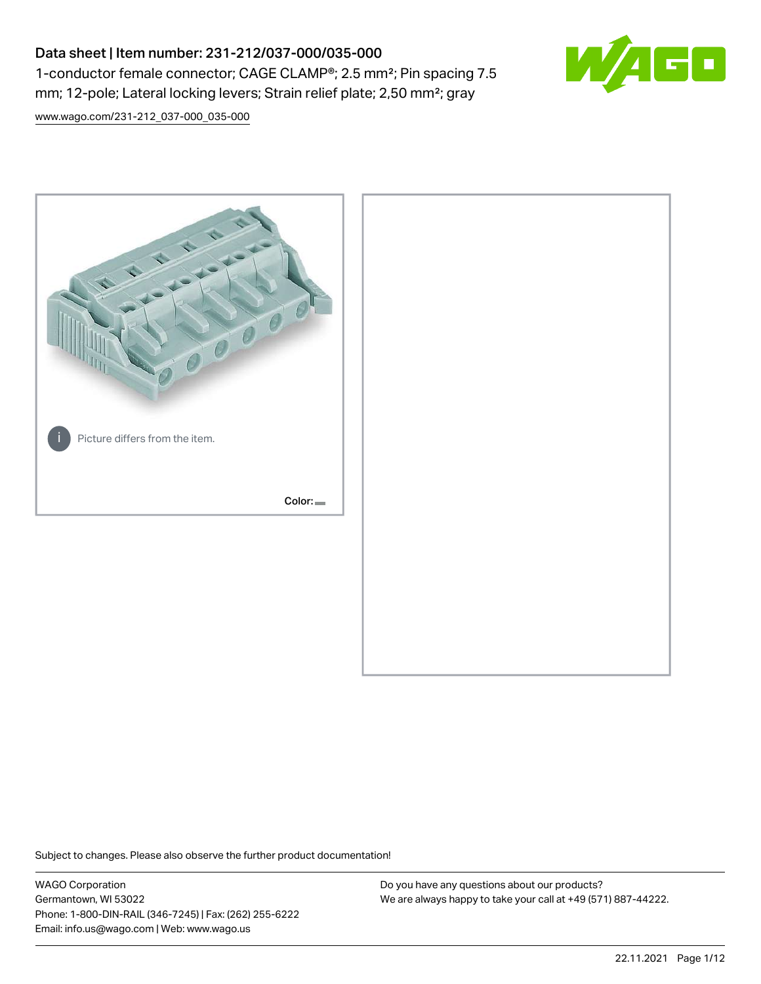# Data sheet | Item number: 231-212/037-000/035-000 1-conductor female connector; CAGE CLAMP®; 2.5 mm²; Pin spacing 7.5 mm; 12-pole; Lateral locking levers; Strain relief plate; 2,50 mm²; gray



[www.wago.com/231-212\\_037-000\\_035-000](http://www.wago.com/231-212_037-000_035-000)



Subject to changes. Please also observe the further product documentation!

WAGO Corporation Germantown, WI 53022 Phone: 1-800-DIN-RAIL (346-7245) | Fax: (262) 255-6222 Email: info.us@wago.com | Web: www.wago.us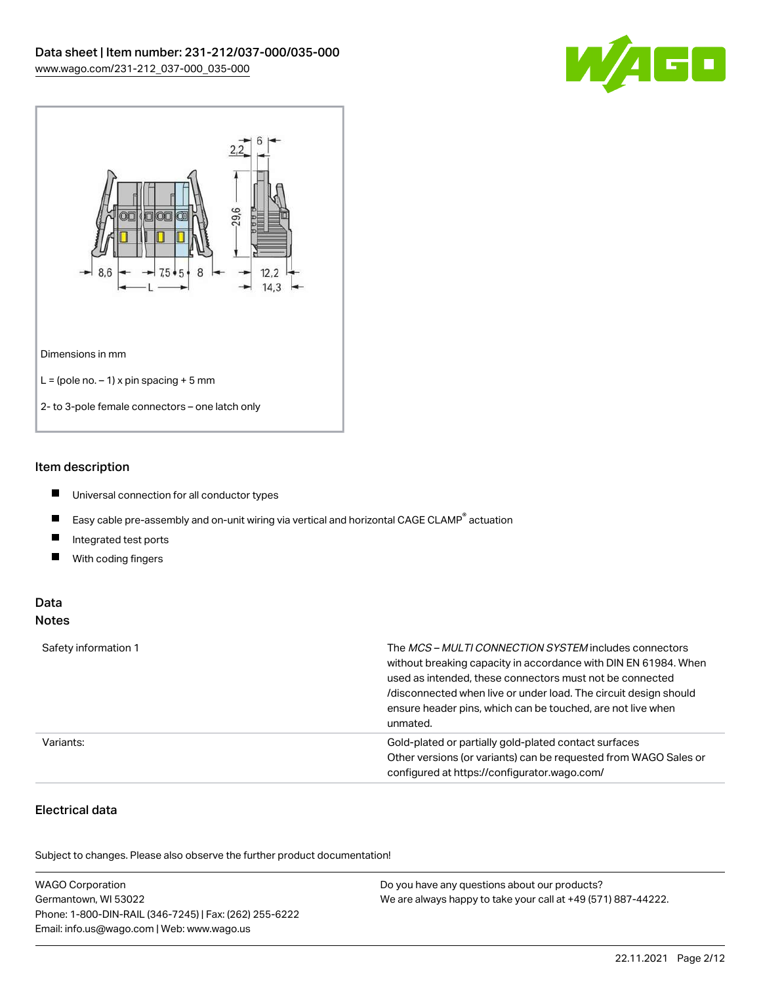



#### Item description

- $\blacksquare$ Universal connection for all conductor types
- $\blacksquare$ Easy cable pre-assembly and on-unit wiring via vertical and horizontal CAGE CLAMP<sup>®</sup> actuation
- $\blacksquare$ Integrated test ports
- $\blacksquare$ With coding fingers

#### Data Notes

| Safety information 1 | The <i>MCS – MULTI CONNECTION SYSTEM</i> includes connectors<br>without breaking capacity in accordance with DIN EN 61984. When<br>used as intended, these connectors must not be connected<br>/disconnected when live or under load. The circuit design should<br>ensure header pins, which can be touched, are not live when<br>unmated. |
|----------------------|--------------------------------------------------------------------------------------------------------------------------------------------------------------------------------------------------------------------------------------------------------------------------------------------------------------------------------------------|
| Variants:            | Gold-plated or partially gold-plated contact surfaces<br>Other versions (or variants) can be requested from WAGO Sales or<br>configured at https://configurator.wago.com/                                                                                                                                                                  |

# Electrical data

| <b>WAGO Corporation</b>                                | Do you have any questions about our products?                 |
|--------------------------------------------------------|---------------------------------------------------------------|
| Germantown, WI 53022                                   | We are always happy to take your call at +49 (571) 887-44222. |
| Phone: 1-800-DIN-RAIL (346-7245)   Fax: (262) 255-6222 |                                                               |
| Email: info.us@wago.com   Web: www.wago.us             |                                                               |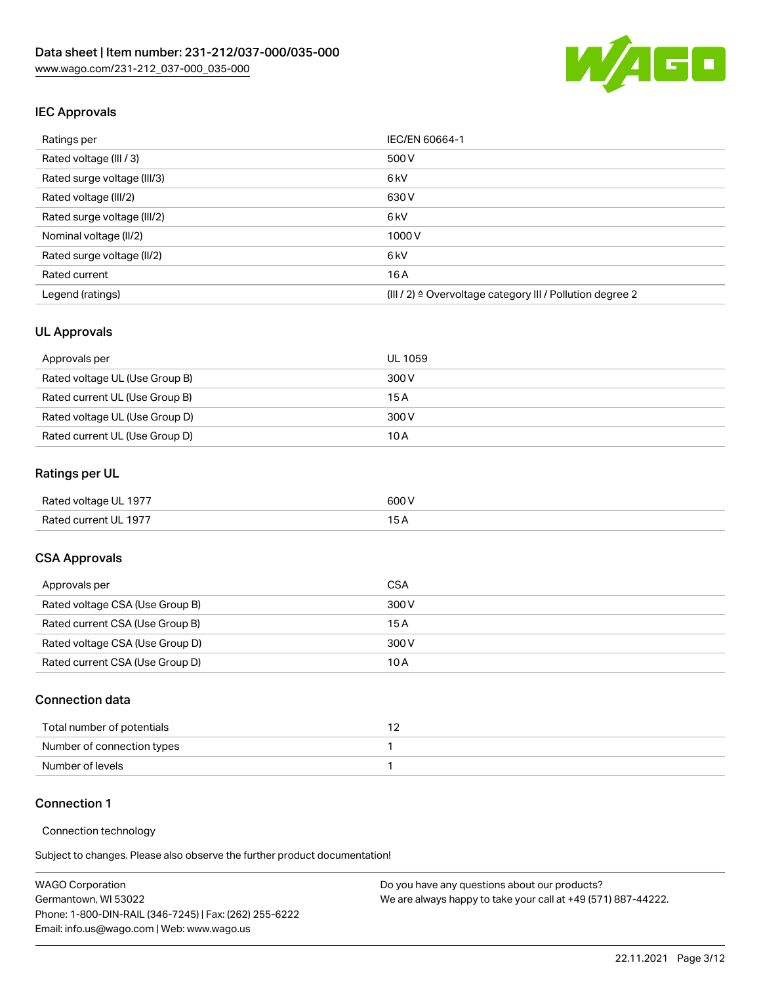

# IEC Approvals

| Ratings per                 | IEC/EN 60664-1                                            |
|-----------------------------|-----------------------------------------------------------|
| Rated voltage (III / 3)     | 500 V                                                     |
| Rated surge voltage (III/3) | 6 <sub>kV</sub>                                           |
| Rated voltage (III/2)       | 630 V                                                     |
| Rated surge voltage (III/2) | 6 <sub>kV</sub>                                           |
| Nominal voltage (II/2)      | 1000 V                                                    |
| Rated surge voltage (II/2)  | 6 <sub>kV</sub>                                           |
| Rated current               | 16A                                                       |
| Legend (ratings)            | (III / 2) ≙ Overvoltage category III / Pollution degree 2 |

#### UL Approvals

| Approvals per                  | UL 1059 |
|--------------------------------|---------|
| Rated voltage UL (Use Group B) | 300 V   |
| Rated current UL (Use Group B) | 15 A    |
| Rated voltage UL (Use Group D) | 300 V   |
| Rated current UL (Use Group D) | 10 A    |

# Ratings per UL

| Rated voltage UL 1977 | 600 V |
|-----------------------|-------|
| Rated current UL 1977 |       |

#### CSA Approvals

| Approvals per                   | CSA   |
|---------------------------------|-------|
| Rated voltage CSA (Use Group B) | 300 V |
| Rated current CSA (Use Group B) | 15 A  |
| Rated voltage CSA (Use Group D) | 300 V |
| Rated current CSA (Use Group D) | 10 A  |

#### Connection data

| Total number of potentials |  |
|----------------------------|--|
| Number of connection types |  |
| Number of levels           |  |

#### Connection 1

#### Connection technology

| <b>WAGO Corporation</b>                                | Do you have any questions about our products?                 |
|--------------------------------------------------------|---------------------------------------------------------------|
| Germantown, WI 53022                                   | We are always happy to take your call at +49 (571) 887-44222. |
| Phone: 1-800-DIN-RAIL (346-7245)   Fax: (262) 255-6222 |                                                               |
| Email: info.us@wago.com   Web: www.wago.us             |                                                               |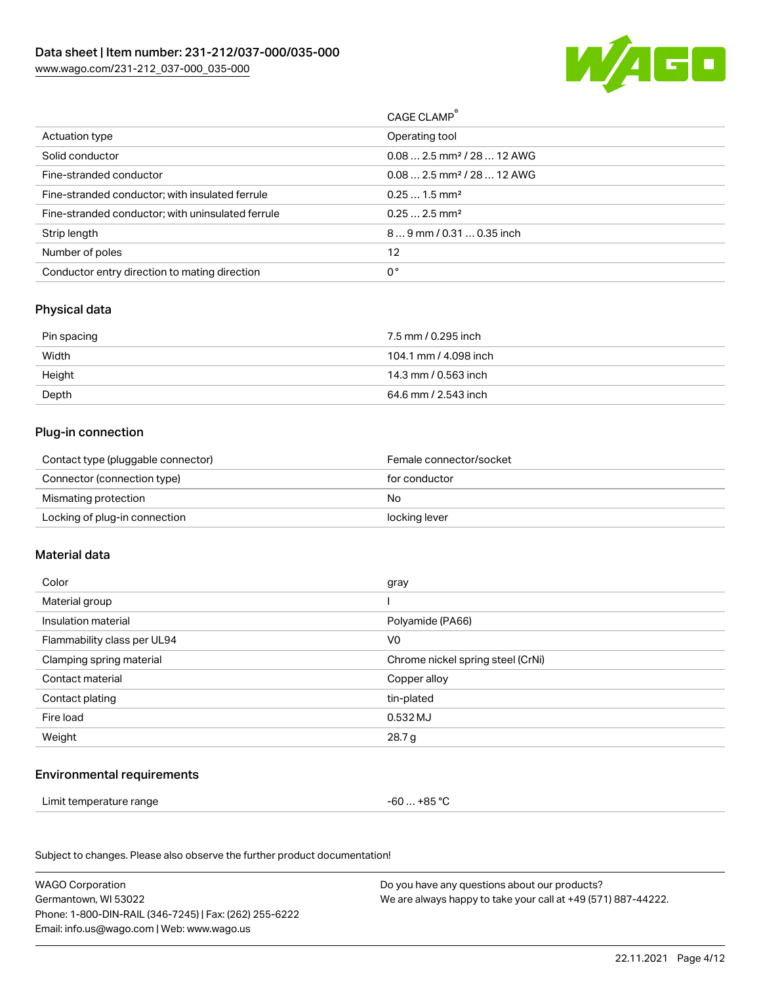

| CAGE CLAMP®                            |
|----------------------------------------|
| Operating tool                         |
| $0.082.5$ mm <sup>2</sup> / 28  12 AWG |
| $0.082.5$ mm <sup>2</sup> / 28  12 AWG |
| $0.251.5$ mm <sup>2</sup>              |
| $0.252.5$ mm <sup>2</sup>              |
| $89$ mm / 0.31  0.35 inch              |
|                                        |
|                                        |
|                                        |

### Physical data

| Pin spacing | 7.5 mm / 0.295 inch   |
|-------------|-----------------------|
| Width       | 104.1 mm / 4.098 inch |
| Height      | 14.3 mm / 0.563 inch  |
| Depth       | 64.6 mm / 2.543 inch  |

#### Plug-in connection

| Contact type (pluggable connector) | Female connector/socket |
|------------------------------------|-------------------------|
| Connector (connection type)        | for conductor           |
| Mismating protection               | No                      |
| Locking of plug-in connection      | locking lever           |

#### Material data

| Color                       | gray                              |
|-----------------------------|-----------------------------------|
| Material group              |                                   |
| Insulation material         | Polyamide (PA66)                  |
| Flammability class per UL94 | V0                                |
| Clamping spring material    | Chrome nickel spring steel (CrNi) |
| Contact material            | Copper alloy                      |
| Contact plating             | tin-plated                        |
| Fire load                   | 0.532 MJ                          |
| Weight                      | 28.7 g                            |
|                             |                                   |

#### Environmental requirements

Limit temperature range  $-60...+85$  °C

| <b>WAGO Corporation</b>                                | Do you have any questions about our products?                 |
|--------------------------------------------------------|---------------------------------------------------------------|
| Germantown, WI 53022                                   | We are always happy to take your call at +49 (571) 887-44222. |
| Phone: 1-800-DIN-RAIL (346-7245)   Fax: (262) 255-6222 |                                                               |
| Email: info.us@wago.com   Web: www.wago.us             |                                                               |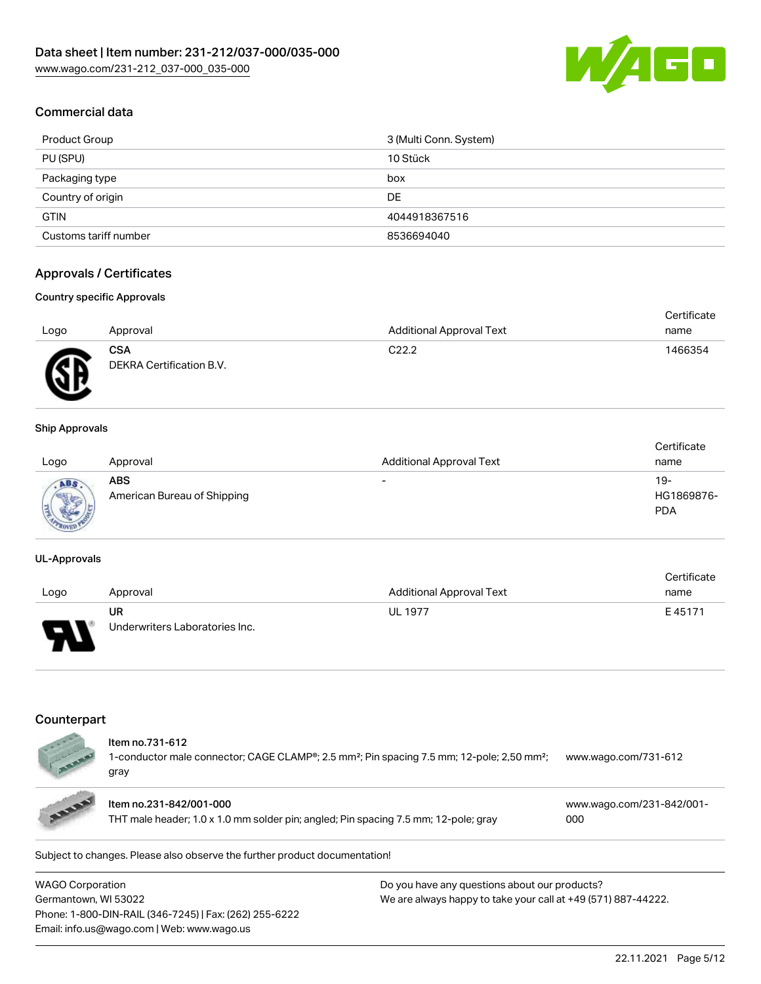

## Commercial data

| Product Group         | 3 (Multi Conn. System) |
|-----------------------|------------------------|
| PU (SPU)              | 10 Stück               |
| Packaging type        | box                    |
| Country of origin     | DE                     |
| <b>GTIN</b>           | 4044918367516          |
| Customs tariff number | 8536694040             |

## Approvals / Certificates

#### Country specific Approvals

|      |                                        |                                 | Certificate |
|------|----------------------------------------|---------------------------------|-------------|
| Logo | Approval                               | <b>Additional Approval Text</b> | name        |
| Æ    | <b>CSA</b><br>DEKRA Certification B.V. | C <sub>22.2</sub>               | 1466354     |
|      |                                        |                                 |             |

#### Ship Approvals

| Logo                                  | Approval                                  | <b>Additional Approval Text</b> | Certificate<br>name               |
|---------------------------------------|-------------------------------------------|---------------------------------|-----------------------------------|
| ABS<br><b>Marris</b><br><b>PPROOF</b> | <b>ABS</b><br>American Bureau of Shipping | $\overline{\phantom{a}}$        | $19-$<br>HG1869876-<br><b>PDA</b> |

#### UL-Approvals

|      |                                |                          | Certificate |
|------|--------------------------------|--------------------------|-------------|
| Logo | Approval                       | Additional Approval Text | name        |
|      | UR                             | <b>UL 1977</b>           | E45171      |
| Б    | Underwriters Laboratories Inc. |                          |             |

### Counterpart

THT male header; 1.0 x 1.0 mm solder pin; angled; Pin spacing 7.5 mm; 12-pole; gray [000](https://www.wago.com/231-842/001-000)

| WAGO Corporation                                       | Do you have any questions about our products?                 |
|--------------------------------------------------------|---------------------------------------------------------------|
| Germantown, WI 53022                                   | We are always happy to take your call at +49 (571) 887-44222. |
| Phone: 1-800-DIN-RAIL (346-7245)   Fax: (262) 255-6222 |                                                               |
| Email: info.us@wago.com   Web: www.wago.us             |                                                               |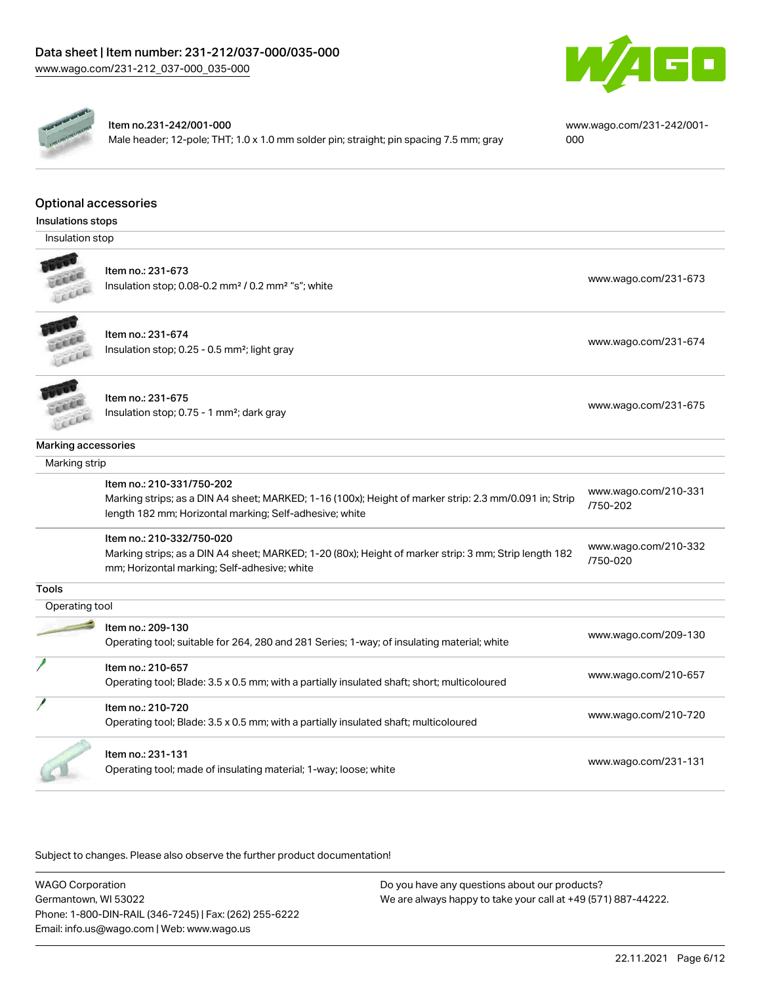



#### Item no.231-242/001-000

Male header; 12-pole; THT; 1.0 x 1.0 mm solder pin; straight; pin spacing 7.5 mm; gray

[www.wago.com/231-242/001-](https://www.wago.com/231-242/001-000) [000](https://www.wago.com/231-242/001-000)

[www.wago.com/210-331](http://www.wago.com/210-331/750-202)

[/750-202](http://www.wago.com/210-331/750-202)

# Optional accessories

Insulations stops

Insulation stop



Item no.: 231-673 Insulation stop; 0.08-0.2 mm<sup>2</sup> / 0.2 mm<sup>2</sup> "s"; white [www.wago.com/231-673](http://www.wago.com/231-673) www.wago.com/231-673



Item no.: 231-674 Insulation stop; 0.25 - 0.5 mm²; light gray [www.wago.com/231-674](http://www.wago.com/231-674) www.wago.com/231-674



Item no.: 231-675 Insulation stop; 0.75 - 1 mm<sup>2</sup>; dark gray [www.wago.com/231-675](http://www.wago.com/231-675)<br>Insulation stop; 0.75 - 1 mm<sup>2</sup>; dark gray

#### Marking accessories

 Marking strip Item no.: 210-331/750-202 Marking strips; as a DIN A4 sheet; MARKED; 1-16 (100x); Height of marker strip: 2.3 mm/0.091 in; Strip length 182 mm; Horizontal marking; Self-adhesive; white Item no.: 210-332/750-020

Marking strips; as a DIN A4 sheet; MARKED; 1-20 (80x); Height of marker strip: 3 mm; Strip length 182 mm; Horizontal marking; Self-adhesive; white [www.wago.com/210-332](http://www.wago.com/210-332/750-020) [/750-020](http://www.wago.com/210-332/750-020)

**Tools** 

| Operating tool |                                                                                                                  |                      |
|----------------|------------------------------------------------------------------------------------------------------------------|----------------------|
|                | Item no.: 209-130<br>Operating tool; suitable for 264, 280 and 281 Series; 1-way; of insulating material; white  | www.wago.com/209-130 |
|                | Item no.: 210-657<br>Operating tool; Blade: 3.5 x 0.5 mm; with a partially insulated shaft; short; multicoloured | www.wago.com/210-657 |
|                | Item no.: 210-720<br>Operating tool; Blade: 3.5 x 0.5 mm; with a partially insulated shaft; multicoloured        | www.wago.com/210-720 |
|                | Item no.: 231-131<br>Operating tool; made of insulating material; 1-way; loose; white                            | www.wago.com/231-131 |

Subject to changes. Please also observe the further product documentation!

WAGO Corporation Germantown, WI 53022 Phone: 1-800-DIN-RAIL (346-7245) | Fax: (262) 255-6222 Email: info.us@wago.com | Web: www.wago.us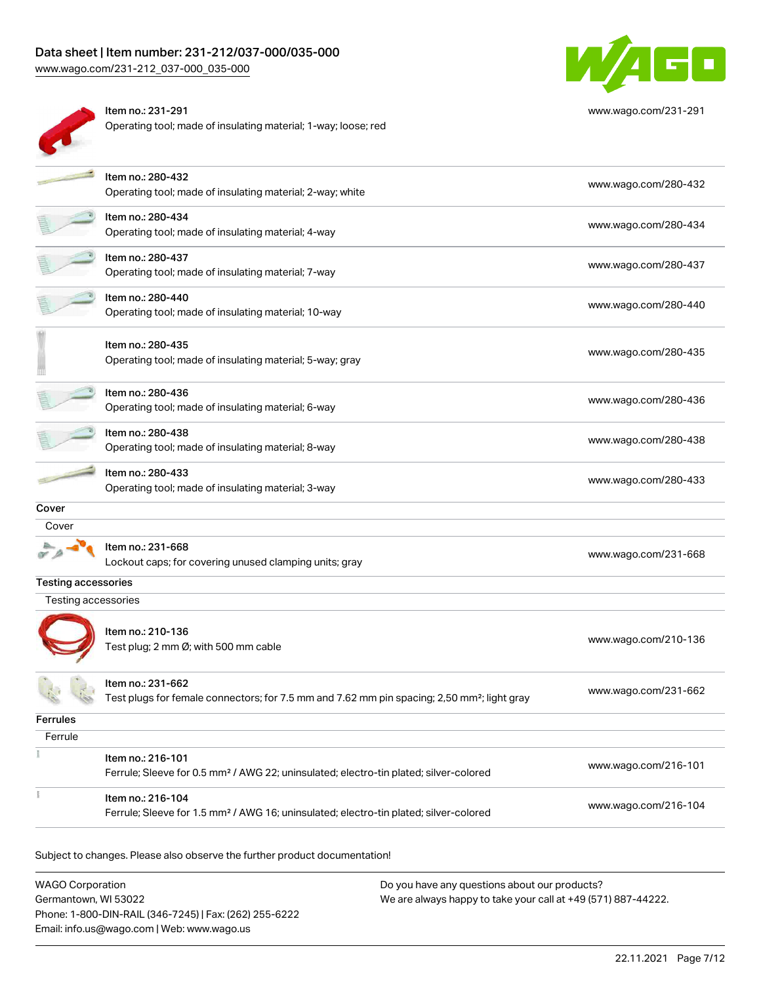Operating tool; made of insulating material; 1-way; loose; red

Item no.: 231-291



[www.wago.com/231-291](http://www.wago.com/231-291)

|                            | Item no.: 280-432<br>Operating tool; made of insulating material; 2-way; white                                               | www.wago.com/280-432 |
|----------------------------|------------------------------------------------------------------------------------------------------------------------------|----------------------|
|                            | Item no.: 280-434<br>Operating tool; made of insulating material; 4-way                                                      | www.wago.com/280-434 |
|                            | Item no.: 280-437<br>Operating tool; made of insulating material; 7-way                                                      | www.wago.com/280-437 |
|                            | Item no.: 280-440<br>Operating tool; made of insulating material; 10-way                                                     | www.wago.com/280-440 |
|                            | Item no.: 280-435<br>Operating tool; made of insulating material; 5-way; gray                                                | www.wago.com/280-435 |
|                            | Item no.: 280-436<br>Operating tool; made of insulating material; 6-way                                                      | www.wago.com/280-436 |
|                            | Item no.: 280-438<br>Operating tool; made of insulating material; 8-way                                                      | www.wago.com/280-438 |
|                            | Item no.: 280-433<br>Operating tool; made of insulating material; 3-way                                                      | www.wago.com/280-433 |
| Cover                      |                                                                                                                              |                      |
| Cover                      |                                                                                                                              |                      |
|                            | Item no.: 231-668<br>Lockout caps; for covering unused clamping units; gray                                                  | www.wago.com/231-668 |
| <b>Testing accessories</b> |                                                                                                                              |                      |
| Testing accessories        |                                                                                                                              |                      |
|                            | Item no.: 210-136<br>Test plug; 2 mm Ø; with 500 mm cable                                                                    | www.wago.com/210-136 |
|                            | ltem no.: 231-662<br>Test plugs for female connectors; for 7.5 mm and 7.62 mm pin spacing; 2,50 mm <sup>2</sup> ; light gray | www.wago.com/231-662 |
| Ferrules                   |                                                                                                                              |                      |
| Ferrule                    |                                                                                                                              |                      |
|                            | Item no.: 216-101<br>Ferrule; Sleeve for 0.5 mm <sup>2</sup> / AWG 22; uninsulated; electro-tin plated; silver-colored       | www.wago.com/216-101 |
|                            | Item no.: 216-104<br>Ferrule; Sleeve for 1.5 mm <sup>2</sup> / AWG 16; uninsulated; electro-tin plated; silver-colored       | www.wago.com/216-104 |
|                            |                                                                                                                              |                      |

| WAGO Corporation                                       | Do you have any questions about our products?                 |
|--------------------------------------------------------|---------------------------------------------------------------|
| Germantown, WI 53022                                   | We are always happy to take your call at +49 (571) 887-44222. |
| Phone: 1-800-DIN-RAIL (346-7245)   Fax: (262) 255-6222 |                                                               |
| Email: info.us@wago.com   Web: www.wago.us             |                                                               |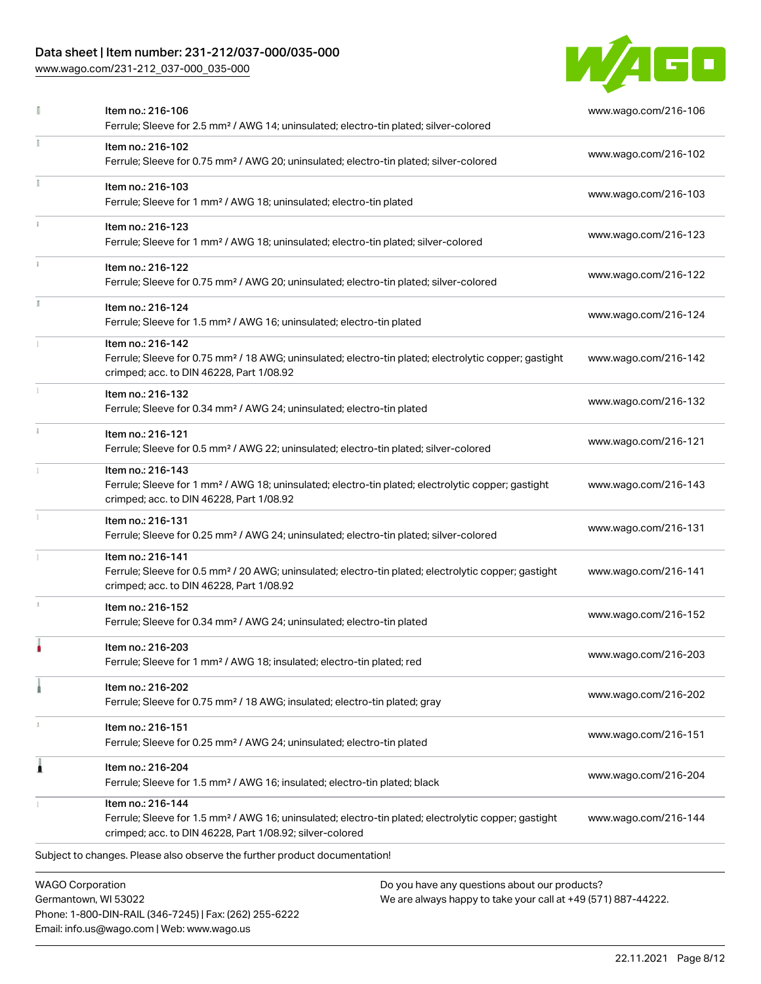### Data sheet | Item number: 231-212/037-000/035-000

Phone: 1-800-DIN-RAIL (346-7245) | Fax: (262) 255-6222

Email: info.us@wago.com | Web: www.wago.us

[www.wago.com/231-212\\_037-000\\_035-000](http://www.wago.com/231-212_037-000_035-000)



|   | Item no.: 216-106<br>Ferrule; Sleeve for 2.5 mm <sup>2</sup> / AWG 14; uninsulated; electro-tin plated; silver-colored                                                                            |                                                                                                                | www.wago.com/216-106 |
|---|---------------------------------------------------------------------------------------------------------------------------------------------------------------------------------------------------|----------------------------------------------------------------------------------------------------------------|----------------------|
|   | Item no.: 216-102<br>Ferrule; Sleeve for 0.75 mm <sup>2</sup> / AWG 20; uninsulated; electro-tin plated; silver-colored                                                                           |                                                                                                                | www.wago.com/216-102 |
|   | Item no.: 216-103<br>Ferrule; Sleeve for 1 mm <sup>2</sup> / AWG 18; uninsulated; electro-tin plated                                                                                              |                                                                                                                | www.wago.com/216-103 |
|   | Item no.: 216-123<br>Ferrule; Sleeve for 1 mm <sup>2</sup> / AWG 18; uninsulated; electro-tin plated; silver-colored                                                                              |                                                                                                                | www.wago.com/216-123 |
|   | Item no.: 216-122<br>Ferrule; Sleeve for 0.75 mm <sup>2</sup> / AWG 20; uninsulated; electro-tin plated; silver-colored                                                                           |                                                                                                                | www.wago.com/216-122 |
|   | Item no.: 216-124<br>Ferrule; Sleeve for 1.5 mm <sup>2</sup> / AWG 16; uninsulated; electro-tin plated                                                                                            |                                                                                                                | www.wago.com/216-124 |
|   | Item no.: 216-142<br>Ferrule; Sleeve for 0.75 mm <sup>2</sup> / 18 AWG; uninsulated; electro-tin plated; electrolytic copper; gastight<br>crimped; acc. to DIN 46228, Part 1/08.92                |                                                                                                                | www.wago.com/216-142 |
|   | Item no.: 216-132<br>Ferrule; Sleeve for 0.34 mm <sup>2</sup> / AWG 24; uninsulated; electro-tin plated                                                                                           |                                                                                                                | www.wago.com/216-132 |
|   | Item no.: 216-121<br>Ferrule; Sleeve for 0.5 mm <sup>2</sup> / AWG 22; uninsulated; electro-tin plated; silver-colored                                                                            |                                                                                                                | www.wago.com/216-121 |
|   | Item no.: 216-143<br>Ferrule; Sleeve for 1 mm <sup>2</sup> / AWG 18; uninsulated; electro-tin plated; electrolytic copper; gastight<br>crimped; acc. to DIN 46228, Part 1/08.92                   |                                                                                                                | www.wago.com/216-143 |
|   | Item no.: 216-131<br>Ferrule; Sleeve for 0.25 mm <sup>2</sup> / AWG 24; uninsulated; electro-tin plated; silver-colored                                                                           |                                                                                                                | www.wago.com/216-131 |
|   | Item no.: 216-141<br>Ferrule; Sleeve for 0.5 mm <sup>2</sup> / 20 AWG; uninsulated; electro-tin plated; electrolytic copper; gastight<br>crimped; acc. to DIN 46228, Part 1/08.92                 |                                                                                                                | www.wago.com/216-141 |
|   | Item no.: 216-152<br>Ferrule; Sleeve for 0.34 mm <sup>2</sup> / AWG 24; uninsulated; electro-tin plated                                                                                           |                                                                                                                | www.wago.com/216-152 |
|   | Item no.: 216-203<br>Ferrule; Sleeve for 1 mm <sup>2</sup> / AWG 18; insulated; electro-tin plated; red                                                                                           |                                                                                                                | www.wago.com/216-203 |
|   | Item no.: 216-202<br>Ferrule; Sleeve for 0.75 mm <sup>2</sup> / 18 AWG; insulated; electro-tin plated; gray                                                                                       |                                                                                                                | www.wago.com/216-202 |
|   | Item no.: 216-151<br>Ferrule; Sleeve for 0.25 mm <sup>2</sup> / AWG 24; uninsulated; electro-tin plated                                                                                           |                                                                                                                | www.wago.com/216-151 |
| 1 | Item no.: 216-204<br>Ferrule; Sleeve for 1.5 mm <sup>2</sup> / AWG 16; insulated; electro-tin plated; black                                                                                       |                                                                                                                | www.wago.com/216-204 |
|   | Item no.: 216-144<br>Ferrule; Sleeve for 1.5 mm <sup>2</sup> / AWG 16; uninsulated; electro-tin plated; electrolytic copper; gastight<br>crimped; acc. to DIN 46228, Part 1/08.92; silver-colored |                                                                                                                | www.wago.com/216-144 |
|   | Subject to changes. Please also observe the further product documentation!                                                                                                                        |                                                                                                                |                      |
|   | <b>WAGO Corporation</b><br>Germantown, WI 53022                                                                                                                                                   | Do you have any questions about our products?<br>We are always happy to take your call at +49 (571) 887-44222. |                      |

22.11.2021 Page 8/12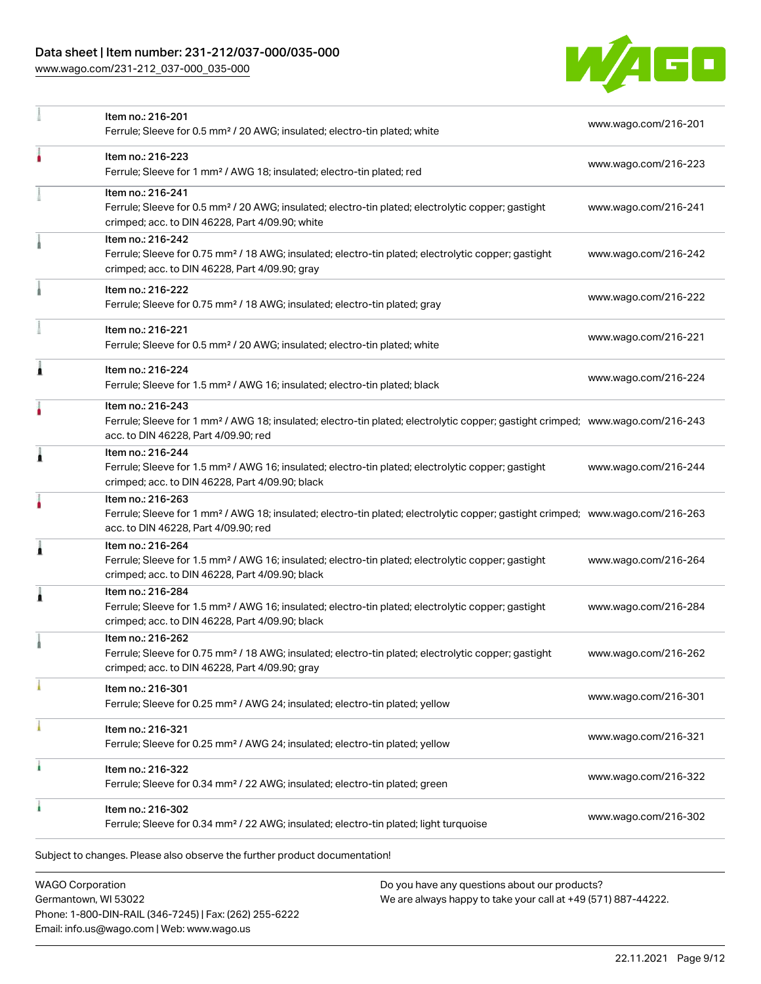## Data sheet | Item number: 231-212/037-000/035-000

[www.wago.com/231-212\\_037-000\\_035-000](http://www.wago.com/231-212_037-000_035-000)



|   | Item no.: 216-201<br>Ferrule; Sleeve for 0.5 mm <sup>2</sup> / 20 AWG; insulated; electro-tin plated; white                                                                                             | www.wago.com/216-201 |
|---|---------------------------------------------------------------------------------------------------------------------------------------------------------------------------------------------------------|----------------------|
|   | Item no.: 216-223<br>Ferrule; Sleeve for 1 mm <sup>2</sup> / AWG 18; insulated; electro-tin plated; red                                                                                                 | www.wago.com/216-223 |
|   | Item no.: 216-241<br>Ferrule; Sleeve for 0.5 mm <sup>2</sup> / 20 AWG; insulated; electro-tin plated; electrolytic copper; gastight<br>crimped; acc. to DIN 46228, Part 4/09.90; white                  | www.wago.com/216-241 |
|   | Item no.: 216-242<br>Ferrule; Sleeve for 0.75 mm <sup>2</sup> / 18 AWG; insulated; electro-tin plated; electrolytic copper; gastight<br>crimped; acc. to DIN 46228, Part 4/09.90; gray                  | www.wago.com/216-242 |
|   | Item no.: 216-222<br>Ferrule; Sleeve for 0.75 mm <sup>2</sup> / 18 AWG; insulated; electro-tin plated; gray                                                                                             | www.wago.com/216-222 |
|   | Item no.: 216-221<br>Ferrule; Sleeve for 0.5 mm <sup>2</sup> / 20 AWG; insulated; electro-tin plated; white                                                                                             | www.wago.com/216-221 |
|   | Item no.: 216-224<br>Ferrule; Sleeve for 1.5 mm <sup>2</sup> / AWG 16; insulated; electro-tin plated; black                                                                                             | www.wago.com/216-224 |
| ۸ | Item no.: 216-243<br>Ferrule; Sleeve for 1 mm <sup>2</sup> / AWG 18; insulated; electro-tin plated; electrolytic copper; gastight crimped; www.wago.com/216-243<br>acc. to DIN 46228, Part 4/09.90; red |                      |
| 1 | Item no.: 216-244<br>Ferrule; Sleeve for 1.5 mm <sup>2</sup> / AWG 16; insulated; electro-tin plated; electrolytic copper; gastight<br>crimped; acc. to DIN 46228, Part 4/09.90; black                  | www.wago.com/216-244 |
|   | Item no.: 216-263<br>Ferrule; Sleeve for 1 mm <sup>2</sup> / AWG 18; insulated; electro-tin plated; electrolytic copper; gastight crimped; www.wago.com/216-263<br>acc. to DIN 46228, Part 4/09.90; red |                      |
| 1 | Item no.: 216-264<br>Ferrule; Sleeve for 1.5 mm <sup>2</sup> / AWG 16; insulated; electro-tin plated; electrolytic copper; gastight<br>crimped; acc. to DIN 46228, Part 4/09.90; black                  | www.wago.com/216-264 |
|   | Item no.: 216-284<br>Ferrule; Sleeve for 1.5 mm <sup>2</sup> / AWG 16; insulated; electro-tin plated; electrolytic copper; gastight<br>crimped; acc. to DIN 46228, Part 4/09.90; black                  | www.wago.com/216-284 |
|   | Item no.: 216-262<br>Ferrule; Sleeve for 0.75 mm <sup>2</sup> / 18 AWG; insulated; electro-tin plated; electrolytic copper; gastight<br>crimped; acc. to DIN 46228, Part 4/09.90; gray                  | www.wago.com/216-262 |
|   | Item no.: 216-301<br>Ferrule; Sleeve for 0.25 mm <sup>2</sup> / AWG 24; insulated; electro-tin plated; yellow                                                                                           | www.wago.com/216-301 |
|   | Item no.: 216-321<br>Ferrule; Sleeve for 0.25 mm <sup>2</sup> / AWG 24; insulated; electro-tin plated; yellow                                                                                           | www.wago.com/216-321 |
|   | Item no.: 216-322<br>Ferrule; Sleeve for 0.34 mm <sup>2</sup> / 22 AWG; insulated; electro-tin plated; green                                                                                            | www.wago.com/216-322 |
|   | Item no.: 216-302<br>Ferrule; Sleeve for 0.34 mm <sup>2</sup> / 22 AWG; insulated; electro-tin plated; light turquoise                                                                                  | www.wago.com/216-302 |

WAGO Corporation Germantown, WI 53022 Phone: 1-800-DIN-RAIL (346-7245) | Fax: (262) 255-6222 Email: info.us@wago.com | Web: www.wago.us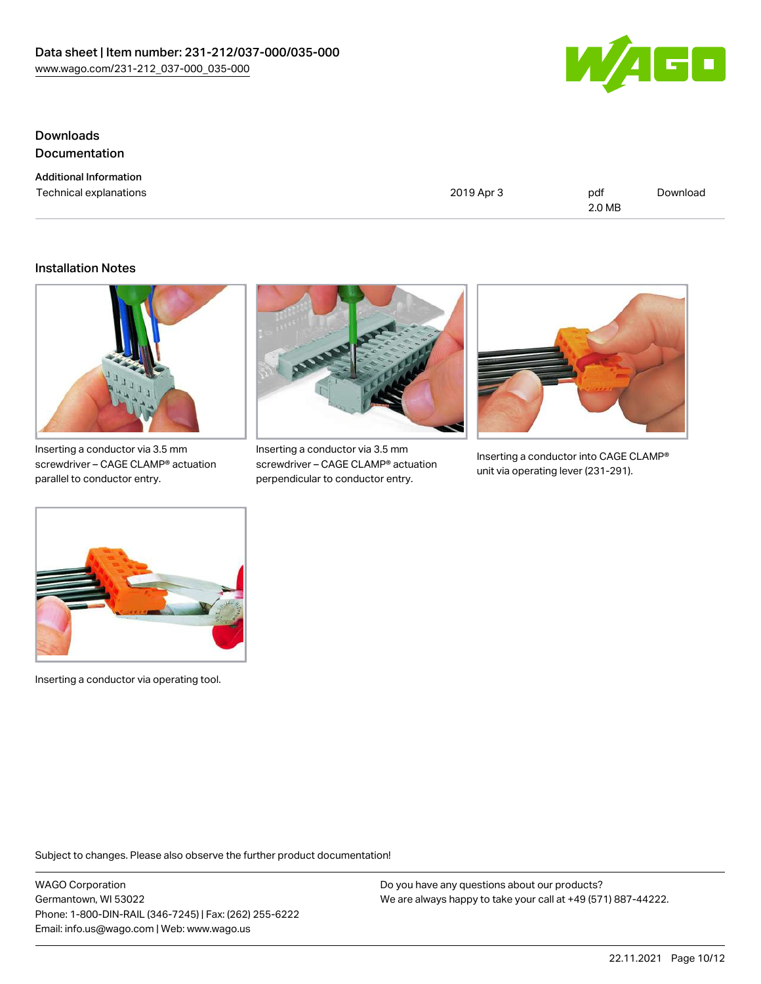

### **Downloads Documentation**

Additional Information

Technical explanations and political explanations and political explanations and political explanations and political explanations and political explanations and political explanations and political explanations and politi 2.0 MB

[Download](https://www.wago.com/global/d/1435602)

### Installation Notes



Inserting a conductor via 3.5 mm screwdriver – CAGE CLAMP® actuation parallel to conductor entry.



Inserting a conductor via 3.5 mm screwdriver – CAGE CLAMP® actuation perpendicular to conductor entry.



Inserting a conductor into CAGE CLAMP® unit via operating lever (231-291).



Inserting a conductor via operating tool.

Subject to changes. Please also observe the further product documentation!

WAGO Corporation Germantown, WI 53022 Phone: 1-800-DIN-RAIL (346-7245) | Fax: (262) 255-6222 Email: info.us@wago.com | Web: www.wago.us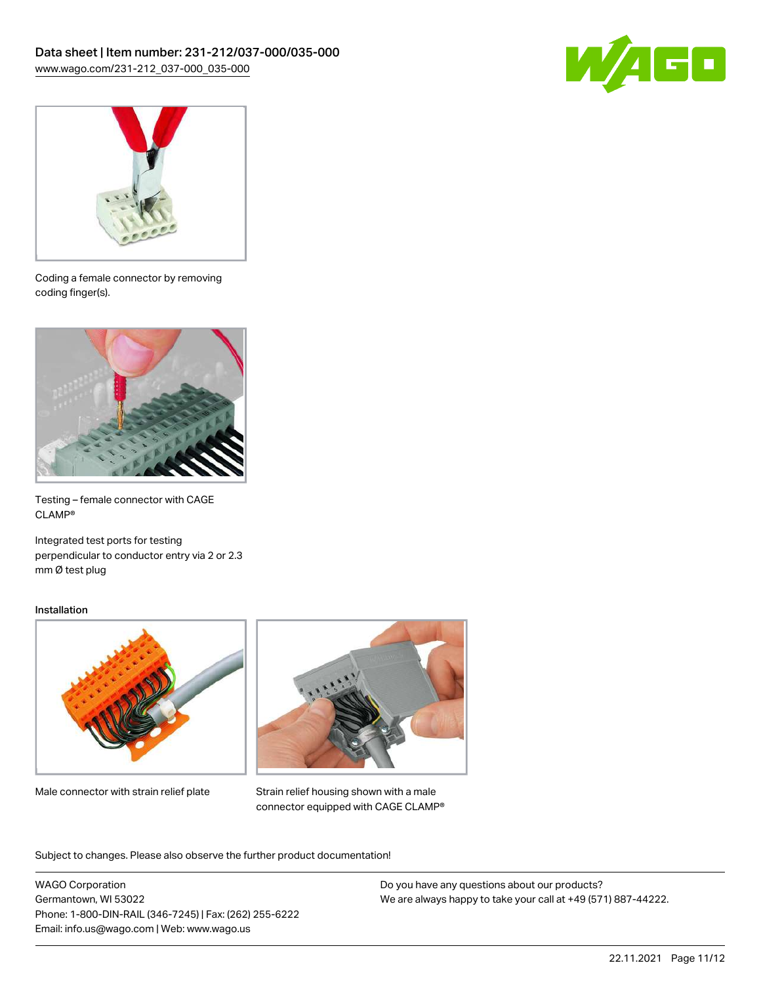



Coding a female connector by removing coding finger(s).



Testing – female connector with CAGE CLAMP®

Integrated test ports for testing perpendicular to conductor entry via 2 or 2.3 mm Ø test plug

#### Installation



Male connector with strain relief plate



Strain relief housing shown with a male connector equipped with CAGE CLAMP®

Subject to changes. Please also observe the further product documentation!

WAGO Corporation Germantown, WI 53022 Phone: 1-800-DIN-RAIL (346-7245) | Fax: (262) 255-6222 Email: info.us@wago.com | Web: www.wago.us